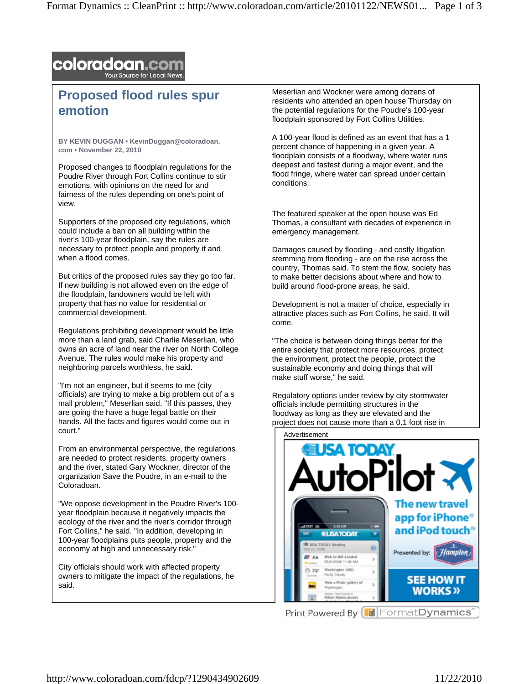## **coloradoan.com**

## **Proposed flood rules spur emotion**

**BY KEVIN DUGGAN • KevinDuggan@coloradoan. com • November 22, 2010** 

Proposed changes to floodplain regulations for the Poudre River through Fort Collins continue to stir emotions, with opinions on the need for and fairness of the rules depending on one's point of view.

Supporters of the proposed city regulations, which could include a ban on all building within the river's 100-year floodplain, say the rules are necessary to protect people and property if and when a flood comes.

But critics of the proposed rules say they go too far. If new building is not allowed even on the edge of the floodplain, landowners would be left with property that has no value for residential or commercial development.

Regulations prohibiting development would be little more than a land grab, said Charlie Meserlian, who owns an acre of land near the river on North College Avenue. The rules would make his property and neighboring parcels worthless, he said.

"I'm not an engineer, but it seems to me (city officials) are trying to make a big problem out of a s mall problem," Meserlian said. "If this passes, they are going the have a huge legal battle on their hands. All the facts and figures would come out in court."

From an environmental perspective, the regulations are needed to protect residents, property owners and the river, stated Gary Wockner, director of the organization Save the Poudre, in an e-mail to the Coloradoan.

"We oppose development in the Poudre River's 100 year floodplain because it negatively impacts the ecology of the river and the river's corridor through Fort Collins," he said. "In addition, developing in 100-year floodplains puts people, property and the economy at high and unnecessary risk."

City officials should work with affected property owners to mitigate the impact of the regulations, he said.

Meserlian and Wockner were among dozens of residents who attended an open house Thursday on the potential regulations for the Poudre's 100-year floodplain sponsored by Fort Collins Utilities.

A 100-year flood is defined as an event that has a 1 percent chance of happening in a given year. A floodplain consists of a floodway, where water runs deepest and fastest during a major event, and the flood fringe, where water can spread under certain conditions.

The featured speaker at the open house was Ed Thomas, a consultant with decades of experience in emergency management.

Damages caused by flooding - and costly litigation stemming from flooding - are on the rise across the country, Thomas said. To stem the flow, society has to make better decisions about where and how to build around flood-prone areas, he said.

Development is not a matter of choice, especially in attractive places such as Fort Collins, he said. It will come.

"The choice is between doing things better for the entire society that protect more resources, protect the environment, protect the people, protect the sustainable economy and doing things that will make stuff worse," he said.

Regulatory options under review by city stormwater officials include permitting structures in the floodway as long as they are elevated and the project does not cause more than a 0.1 foot rise in



Print Powered By FormatDynamics<sup>®</sup>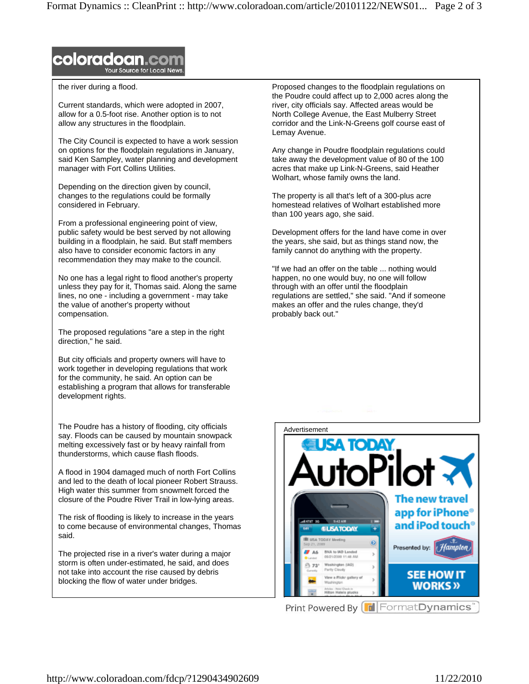

the river during a flood.

Current standards, which were adopted in 2007, allow for a 0.5-foot rise. Another option is to not allow any structures in the floodplain.

The City Council is expected to have a work session on options for the floodplain regulations in January, said Ken Sampley, water planning and development manager with Fort Collins Utilities.

Depending on the direction given by council, changes to the regulations could be formally considered in February.

From a professional engineering point of view, public safety would be best served by not allowing building in a floodplain, he said. But staff members also have to consider economic factors in any recommendation they may make to the council.

No one has a legal right to flood another's property unless they pay for it, Thomas said. Along the same lines, no one - including a government - may take the value of another's property without compensation.

The proposed regulations "are a step in the right direction," he said.

But city officials and property owners will have to work together in developing regulations that work for the community, he said. An option can be establishing a program that allows for transferable development rights.

The Poudre has a history of flooding, city officials say. Floods can be caused by mountain snowpack melting excessively fast or by heavy rainfall from thunderstorms, which cause flash floods.

A flood in 1904 damaged much of north Fort Collins and led to the death of local pioneer Robert Strauss. High water this summer from snowmelt forced the closure of the Poudre River Trail in low-lying areas.

The risk of flooding is likely to increase in the years to come because of environmental changes, Thomas said.

The projected rise in a river's water during a major storm is often under-estimated, he said, and does not take into account the rise caused by debris blocking the flow of water under bridges.

Proposed changes to the floodplain regulations on the Poudre could affect up to 2,000 acres along the river, city officials say. Affected areas would be North College Avenue, the East Mulberry Street corridor and the Link-N-Greens golf course east of Lemay Avenue.

Any change in Poudre floodplain regulations could take away the development value of 80 of the 100 acres that make up Link-N-Greens, said Heather Wolhart, whose family owns the land.

The property is all that's left of a 300-plus acre homestead relatives of Wolhart established more than 100 years ago, she said.

Development offers for the land have come in over the years, she said, but as things stand now, the family cannot do anything with the property.

"If we had an offer on the table ... nothing would happen, no one would buy, no one will follow through with an offer until the floodplain regulations are settled," she said. "And if someone makes an offer and the rules change, they'd probably back out."



Print Powered By FormatDynamics